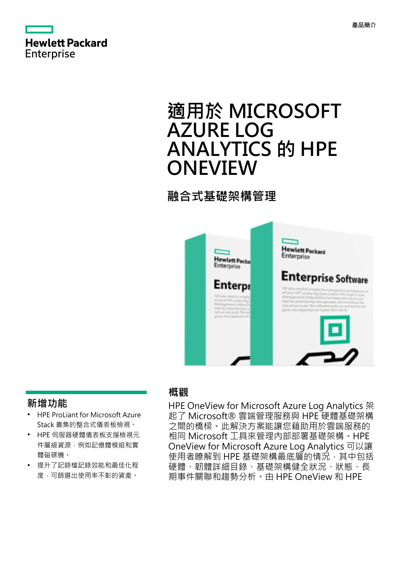

# **適用於 MICROSOFT AZURE LOG ANALYTICS 的 HPE ONEVIEW**

## **融合式基礎架構管理**



### **新增功能**

- **·** HPE ProLiant for Microsoft Azure Stack 叢集的整合式儀表板檢視。
- **·** HPE 伺服器硬體儀表板支援檢視元 件層級資源,例如記憶體模組和實 體磁碟機。
- **·** 提升了記錄檔記錄效能和最佳化程 度,可篩選出使用率不彰的資產。

#### **概觀**

HPE OneView for Microsoft Azure Log Analytics 架 起了 Microsoft® 雲端管理服務與 HPE 硬體基礎架構 之間的橋樑。此解決方案能讓您藉助用於雲端服務的 相同 Microsoft 工具來管理內部部署基礎架構。HPE OneView for Microsoft Azure Log Analytics 可以讓 使用者瞭解到 HPE 基礎架構最底層的情況,其中包括 硬體、韌體詳細目錄、基礎架構健全狀況、狀態、長 期事件關聯和趨勢分析。由 HPE OneView 和 HPE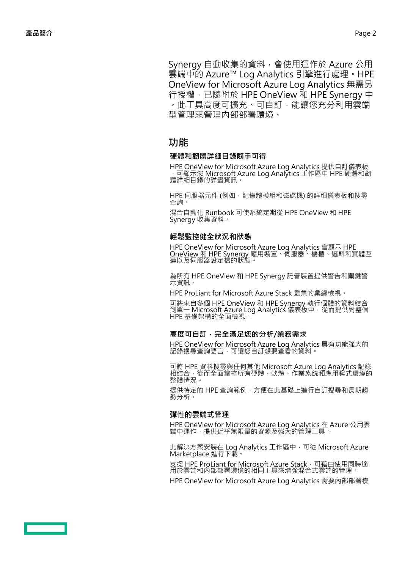Synergy 自動收集的資料,會使用運作於 Azure 公用 雲端中的 Azure™ Log Analytics 引擎進行處理。HPE OneView for Microsoft Azure Log Analytics 無需另 行授權,已隨附於 HPE OneView 和 HPE Synergy 中 。此工具高度可擴充、可自訂,能讓您充分利用雲端 型管理來管理內部部署環境。

#### **功能**

#### **硬體和韌體詳細目錄隨手可得**

HPE OneView for Microsoft Azure Log Analytics 提供自訂儀表板 ,可顯示您 Microsoft Azure Log Analytics 工作區中 HPE 硬體和韌 體詳細目錄的詳盡資訊。

HPE 伺服器元件 (例如,記憶體模組和磁碟機) 的詳細儀表板和搜尋 查詢。

混合自動化 Runbook 可使系統定期從 HPE OneView 和 HPE Synergy 收集資料。

#### **輕鬆監控健全狀況和狀態**

HPE OneView for Microsoft Azure Log Analytics 會顯示 HPE OneView 和 HPE Synergy 應用裝置、伺服器、機櫃、邏輯和實體互 連以及伺服器設定檔的狀態。

為所有 HPE OneView 和 HPE Synergy 託管裝置提供警告和關鍵警 示資訊。

HPE ProLiant for Microsoft Azure Stack 叢集的彙總檢視。

可將來自多個 HPE OneView 和 HPE Synergy 執行個體的資料結合 到單一 Microsoft Azure Log Analytics 儀表板中,從而提供對整個 HPE 基礎架構的全面檢視。

#### **高度可自訂,完全滿足您的分析/業務需求**

HPE OneView for Microsoft Azure Log Analytics 具有功能強大的 記錄搜尋查詢語言,可讓您自訂想要查看的資料。

可將 HPE 資料搜尋與任何其他 Microsoft Azure Log Analytics 記錄 相結合,從而全面掌控所有硬體、軟體、作業系統和應用程式環境的 整體情況。

提供特定的 HPE 查詢範例, 方便在此基礎上進行自訂搜尋和長期趨 勢分析。

#### **彈性的雲端式管理**

HPE OneView for Microsoft Azure Log Analytics 在 Azure 公用雲 端中運作,提供近乎無限量的資源及強大的管理工具。

此解決方案安裝在 Log Analytics 工作區中,可從 Microsoft Azure Marketplace 進行下載。

支援 HPE ProLiant for Microsoft Azure Stack, 可藉由使用同時適 用於雲端和內部部署環境的相同工具來增強混合式雲端的管理。

HPE OneView for Microsoft Azure Log Analytics 需要內部部署模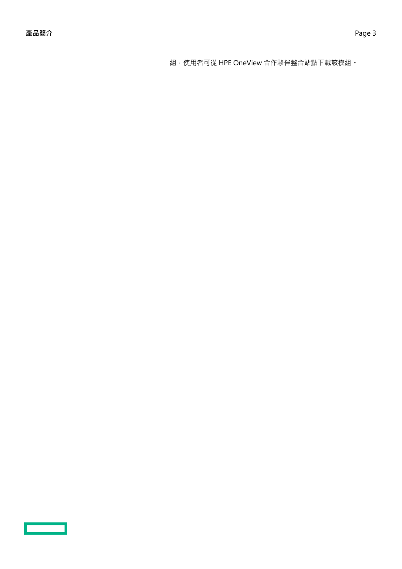組,使用者可從 HPE OneView 合作夥伴整合站點下載該模組。